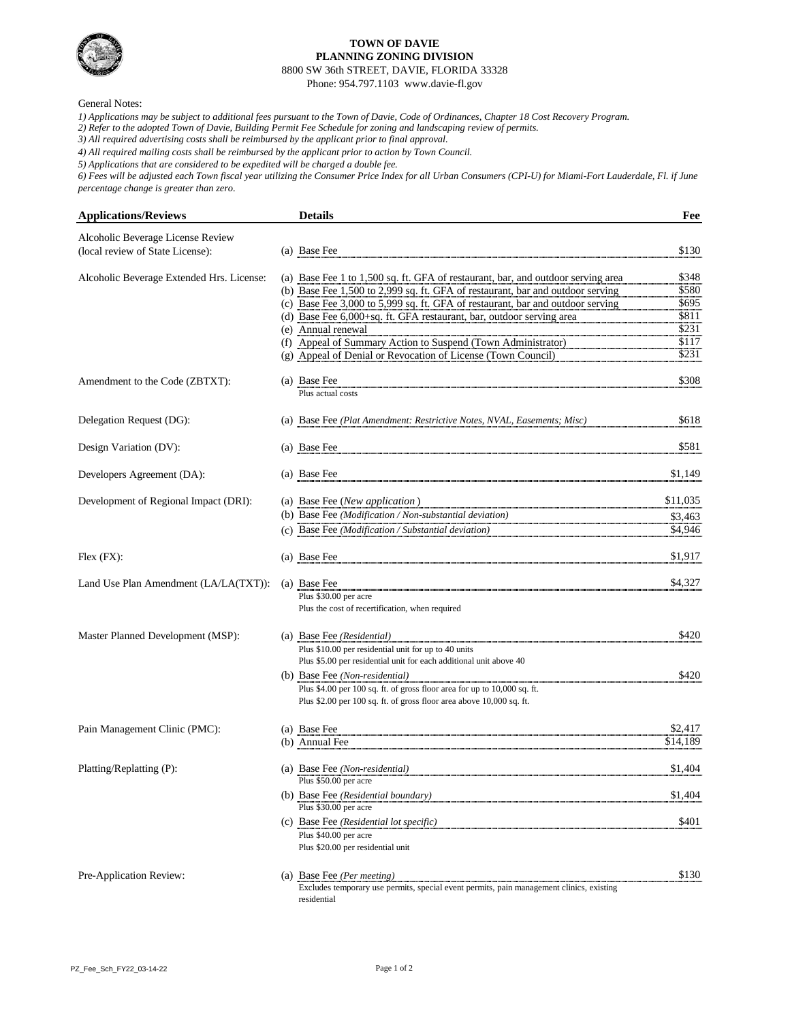

### **TOWN OF DAVIE PLANNING ZONING DIVISION**

8800 SW 36th STREET, DAVIE, FLORIDA 33328

Phone: 954.797.1103 www.davie-fl.gov

| <b>Applications/Reviews</b>               |     | <b>Details</b>                                                                   | Fee      |
|-------------------------------------------|-----|----------------------------------------------------------------------------------|----------|
| Alcoholic Beverage License Review         |     |                                                                                  |          |
| (local review of State License):          |     | (a) Base Fee                                                                     | \$130    |
|                                           |     |                                                                                  |          |
| Alcoholic Beverage Extended Hrs. License: |     | (a) Base Fee 1 to 1,500 sq. ft. GFA of restaurant, bar, and outdoor serving area | \$348    |
|                                           |     | (b) Base Fee 1,500 to 2,999 sq. ft. GFA of restaurant, bar and outdoor serving   | \$580    |
|                                           |     | (c) Base Fee 3,000 to 5,999 sq. ft. GFA of restaurant, bar and outdoor serving   | \$695    |
|                                           |     | (d) Base Fee 6,000+sq. ft. GFA restaurant, bar, outdoor serving area             | \$811    |
|                                           | (e) | Annual renewal                                                                   | \$231    |
|                                           | (f) | Appeal of Summary Action to Suspend (Town Administrator)                         | \$117    |
|                                           |     | (g) Appeal of Denial or Revocation of License (Town Council)                     | \$231    |
| Amendment to the Code (ZBTXT):            |     | (a) Base Fee                                                                     | \$308    |
|                                           |     | Plus actual costs                                                                |          |
|                                           |     |                                                                                  |          |
| Delegation Request (DG):                  |     | (a) Base Fee (Plat Amendment: Restrictive Notes, NVAL, Easements; Misc)          | \$618    |
|                                           |     |                                                                                  |          |
| Design Variation (DV):                    |     | (a) Base Fee                                                                     | \$581    |
|                                           |     |                                                                                  |          |
| Developers Agreement (DA):                |     | (a) Base Fee                                                                     | \$1,149  |
|                                           |     |                                                                                  |          |
| Development of Regional Impact (DRI):     |     | (a) Base Fee (New application)                                                   | \$11,035 |
|                                           |     | (b) Base Fee (Modification / Non-substantial deviation)                          | \$3,463  |
|                                           |     | (c) Base Fee (Modification / Substantial deviation)                              | \$4,946  |
|                                           |     |                                                                                  |          |
| $Flex$ $(FX)$ :                           |     | (a) Base Fee                                                                     | \$1,917  |
|                                           |     | (a) Base Fee                                                                     | \$4,327  |
| Land Use Plan Amendment (LA/LA(TXT)):     |     | Plus \$30.00 per acre                                                            |          |
|                                           |     | Plus the cost of recertification, when required                                  |          |
|                                           |     |                                                                                  |          |
| Master Planned Development (MSP):         |     | (a) Base Fee (Residential)                                                       | \$420    |
|                                           |     | Plus \$10.00 per residential unit for up to 40 units                             |          |
|                                           |     | Plus \$5.00 per residential unit for each additional unit above 40               |          |
|                                           |     | (b) Base Fee (Non-residential)                                                   | \$420    |
|                                           |     | Plus \$4.00 per 100 sq. ft. of gross floor area for up to 10,000 sq. ft.         |          |
|                                           |     | Plus \$2.00 per 100 sq. ft. of gross floor area above 10,000 sq. ft.             |          |
|                                           |     |                                                                                  |          |
| Pain Management Clinic (PMC):             |     | (a) Base Fee                                                                     | \$2,417  |
|                                           |     | (b) Annual Fee                                                                   | \$14,189 |
|                                           |     |                                                                                  |          |
| Platting/Replatting (P):                  |     | (a) Base Fee (Non-residential)<br>Plus \$50.00 per acre                          | \$1,404  |
|                                           |     |                                                                                  | \$1,404  |
|                                           |     | (b) Base Fee (Residential boundary)<br>Plus \$30.00 per acre                     |          |

Pre-Application Review: (a) Base Fee *(Per meeting)* \$130 Excludes temporary use permits, special event permits, pain management clinics, existing residential

PZ\_Fee\_Sch\_FY22\_03-14-22 Page 1 of 2

(c) Base Fee *(Residential lot specific)* \$401 Plus \$40.00 per acre Plus \$20.00 per residential unit

*6) Fees will be adjusted each Town fiscal year utilizing the Consumer Price Index for all Urban Consumers (CPI-U) for Miami-Fort Lauderdale, Fl. if June percentage change is greater than zero.*

#### General Notes:

*1) Applications may be subject to additional fees pursuant to the Town of Davie, Code of Ordinances, Chapter 18 Cost Recovery Program.*

*2) Refer to the adopted Town of Davie, Building Permit Fee Schedule for zoning and landscaping review of permits.*

*3) All required advertising costs shall be reimbursed by the applicant prior to final approval.*

*4) All required mailing costs shall be reimbursed by the applicant prior to action by Town Council.*

*5) Applications that are considered to be expedited will be charged a double fee.*